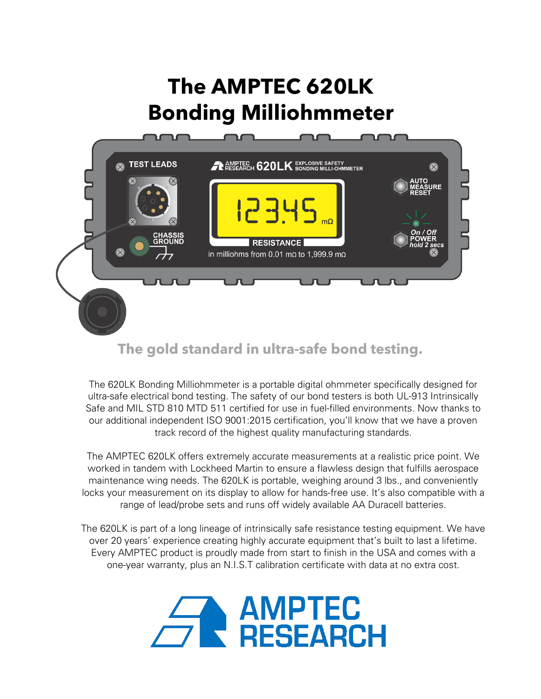# **The AMPTEC 620LK Bonding Milliohmmeter**



# **The gold standard in ultra-safe bond testing.**

The 620LK Bonding Milliohmmeter is a portable digital ohmmeter specifically designed for ultra-safe electrical bond testing. The safety of our bond testers is both UL-913 Intrinsically Safe and MIL STD 810 MTD 511 certified for use in fuel-filled environments. Now thanks to our additional independent ISO 9001:2015 certification, you'll know that we have a proven track record of the highest quality manufacturing standards.

The AMPTEC 620LK offers extremely accurate measurements at a realistic price point. We worked in tandem with Lockheed Martin to ensure a flawless design that fulfills aerospace maintenance wing needs. The 620LK is portable, weighing around 3 lbs., and conveniently locks your measurement on its display to allow for hands-free use. It's also compatible with a range of lead/probe sets and runs off widely available AA Duracell batteries.

The 620LK is part of a long lineage of intrinsically safe resistance testing equipment. We have over 20 years' experience creating highly accurate equipment that's built to last a lifetime. Every AMPTEC product is proudly made from start to finish in the USA and comes with a one-year warranty, plus an N.I.S.T calibration certificate with data at no extra cost.

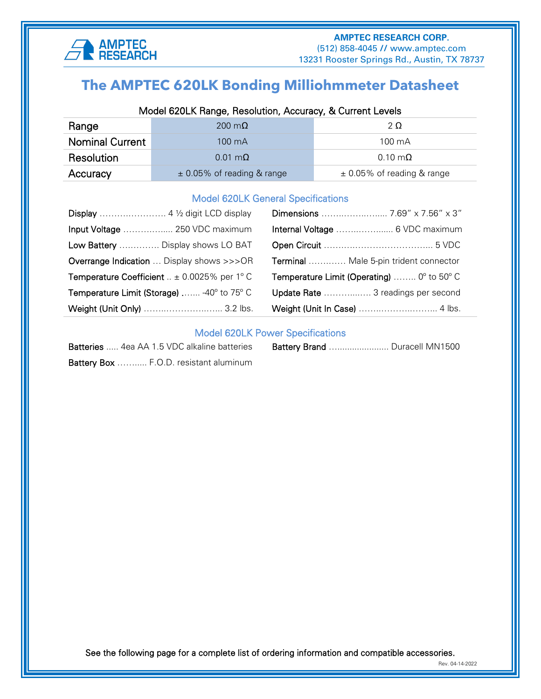

# ֧֪֚֞֝֬֝֬֝֬֝֬֝֬֝ **The AMPTEC 620LK Bonding Milliohmmeter Datasheet**

## Model 620LK Range, Resolution, Accuracy, & Current Levels

| Range           | 200 m $\Omega$                 | 2Ω                             |  |
|-----------------|--------------------------------|--------------------------------|--|
| Nominal Current | 100 mA                         | $100 \text{ mA}$               |  |
| Resolution      | $0.01 \text{ m}\Omega$         | $0.10 \text{ m}\Omega$         |  |
| Accuracy        | $\pm$ 0.05% of reading & range | $\pm$ 0.05% of reading & range |  |

#### Model 620LK General Specifications

| Input Voltage  250 VDC maximum                                 |                                                                     |
|----------------------------------------------------------------|---------------------------------------------------------------------|
| Low Battery  Display shows LO BAT                              |                                                                     |
| <b>Overrange Indication</b> Display shows >>>OR                | Terminal  Male 5-pin trident connector                              |
| <b>Temperature Coefficient</b> $\therefore$ ± 0.0025% per 1° C | <b>Temperature Limit (Operating)</b> $0^{\circ}$ to 50 $^{\circ}$ C |
| Temperature Limit (Storage)  -40° to 75° C                     | Update Rate  3 readings per second                                  |
| Weight (Unit Only)  3.2 lbs.                                   |                                                                     |

### Model 620LK Power Specifications

| <b>Batteries</b> 4ea AA 1.5 VDC alkaline batteries |
|----------------------------------------------------|
| Battery Box  F.O.D. resistant aluminum             |

| <b>Batteries</b> 4ea AA 1.5 VDC alkaline batteries |  | Battery Brand  Duracell MN1500 |
|----------------------------------------------------|--|--------------------------------|
|----------------------------------------------------|--|--------------------------------|